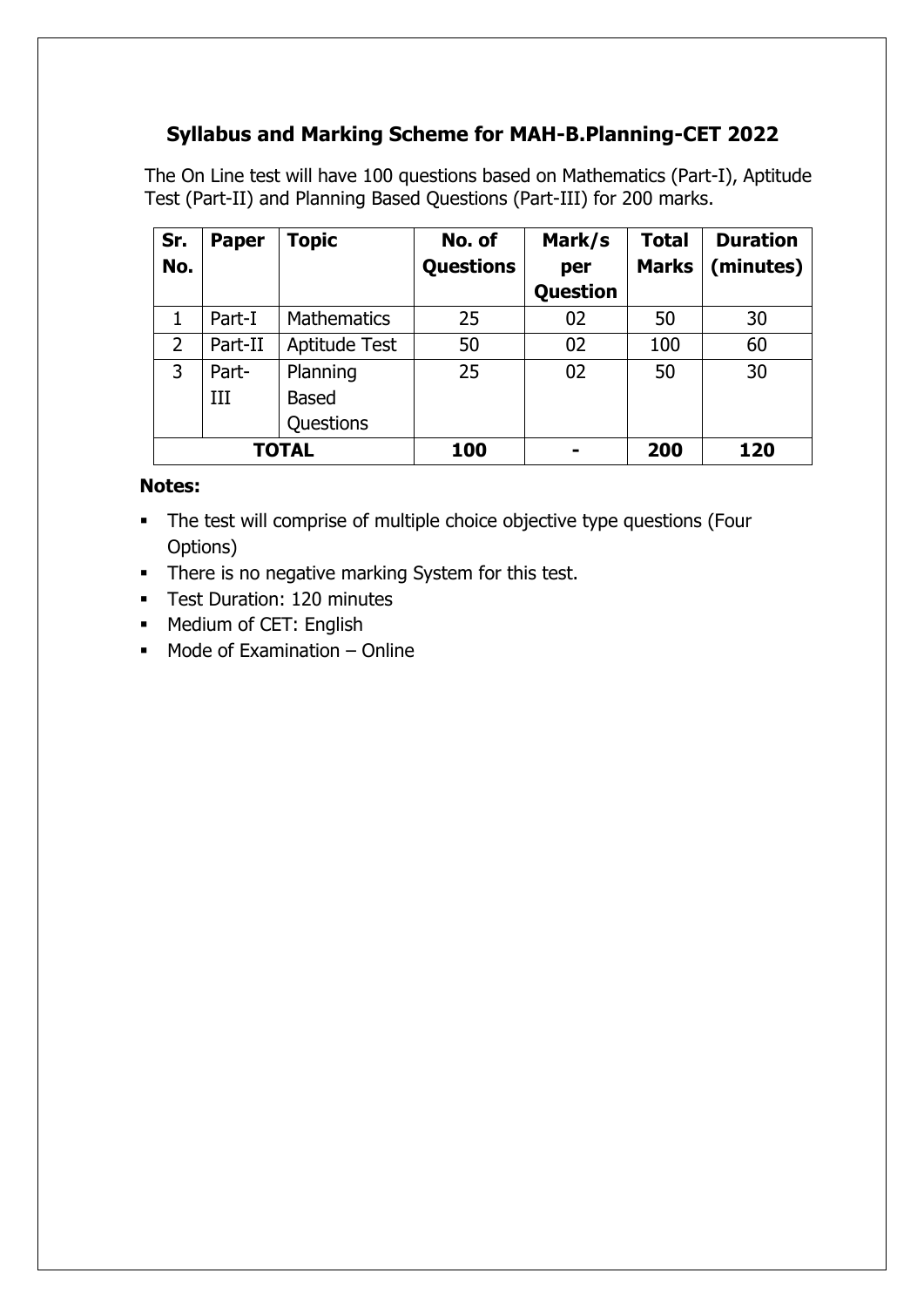# **Syllabus and Marking Scheme for MAH-B.Planning-CET 2022**

The On Line test will have 100 questions based on Mathematics (Part-I), Aptitude Test (Part-II) and Planning Based Questions (Part-III) for 200 marks.

| Sr.            | <b>Paper</b> | Topic              | No. of           | Mark/s   | <b>Total</b> | <b>Duration</b> |
|----------------|--------------|--------------------|------------------|----------|--------------|-----------------|
| No.            |              |                    | <b>Questions</b> | per      | <b>Marks</b> | (minutes)       |
|                |              |                    |                  | Question |              |                 |
|                | Part-I       | <b>Mathematics</b> | 25               | 02       | 50           | 30              |
| $\overline{2}$ | Part-II      | Aptitude Test      | 50               | 02       | 100          | 60              |
| 3              | Part-        | Planning           | 25               | 02       | 50           | 30              |
|                | III          | <b>Based</b>       |                  |          |              |                 |
|                |              | Questions          |                  |          |              |                 |
| <b>TOTAL</b>   |              |                    | 100              |          | 200          | 120             |

#### **Notes:**

- The test will comprise of multiple choice objective type questions (Four Options)
- There is no negative marking System for this test.
- **Test Duration: 120 minutes**
- **Medium of CET: English**
- $M$  Mode of Examination Online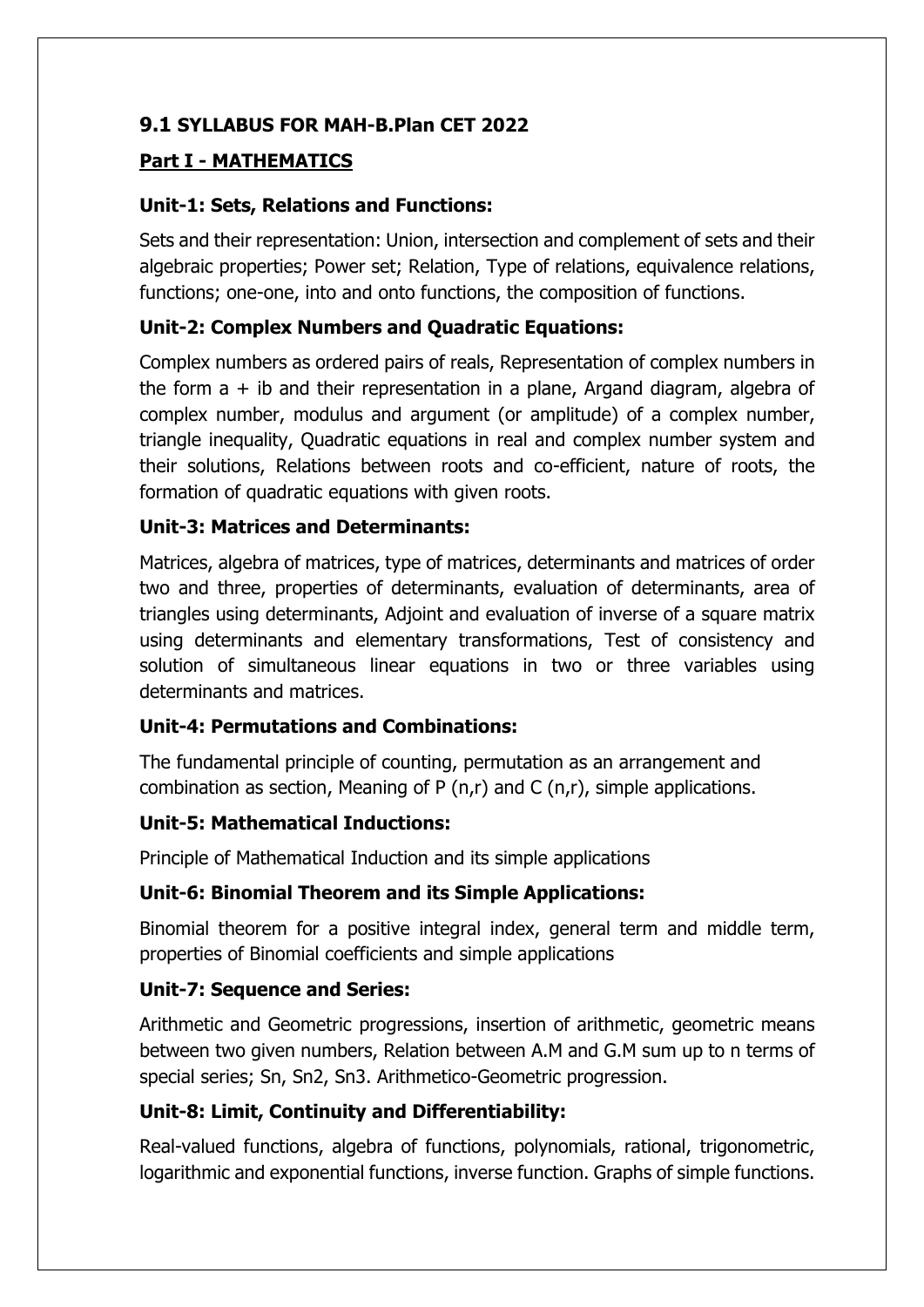# **9.1 SYLLABUS FOR MAH-B.Plan CET 2022**

#### **Part I - MATHEMATICS**

## **Unit-1: Sets, Relations and Functions:**

Sets and their representation: Union, intersection and complement of sets and their algebraic properties; Power set; Relation, Type of relations, equivalence relations, functions; one-one, into and onto functions, the composition of functions.

#### **Unit-2: Complex Numbers and Quadratic Equations:**

Complex numbers as ordered pairs of reals, Representation of complex numbers in the form  $a + ib$  and their representation in a plane, Argand diagram, algebra of complex number, modulus and argument (or amplitude) of a complex number, triangle inequality, Quadratic equations in real and complex number system and their solutions, Relations between roots and co-efficient, nature of roots, the formation of quadratic equations with given roots.

#### **Unit-3: Matrices and Determinants:**

Matrices, algebra of matrices, type of matrices, determinants and matrices of order two and three, properties of determinants, evaluation of determinants, area of triangles using determinants, Adjoint and evaluation of inverse of a square matrix using determinants and elementary transformations, Test of consistency and solution of simultaneous linear equations in two or three variables using determinants and matrices.

## **Unit-4: Permutations and Combinations:**

The fundamental principle of counting, permutation as an arrangement and combination as section, Meaning of P (n,r) and C (n,r), simple applications.

## **Unit-5: Mathematical Inductions:**

Principle of Mathematical Induction and its simple applications

## **Unit-6: Binomial Theorem and its Simple Applications:**

Binomial theorem for a positive integral index, general term and middle term, properties of Binomial coefficients and simple applications

## **Unit-7: Sequence and Series:**

Arithmetic and Geometric progressions, insertion of arithmetic, geometric means between two given numbers, Relation between A.M and G.M sum up to n terms of special series; Sn, Sn2, Sn3. Arithmetico-Geometric progression.

#### **Unit-8: Limit, Continuity and Differentiability:**

Real-valued functions, algebra of functions, polynomials, rational, trigonometric, logarithmic and exponential functions, inverse function. Graphs of simple functions.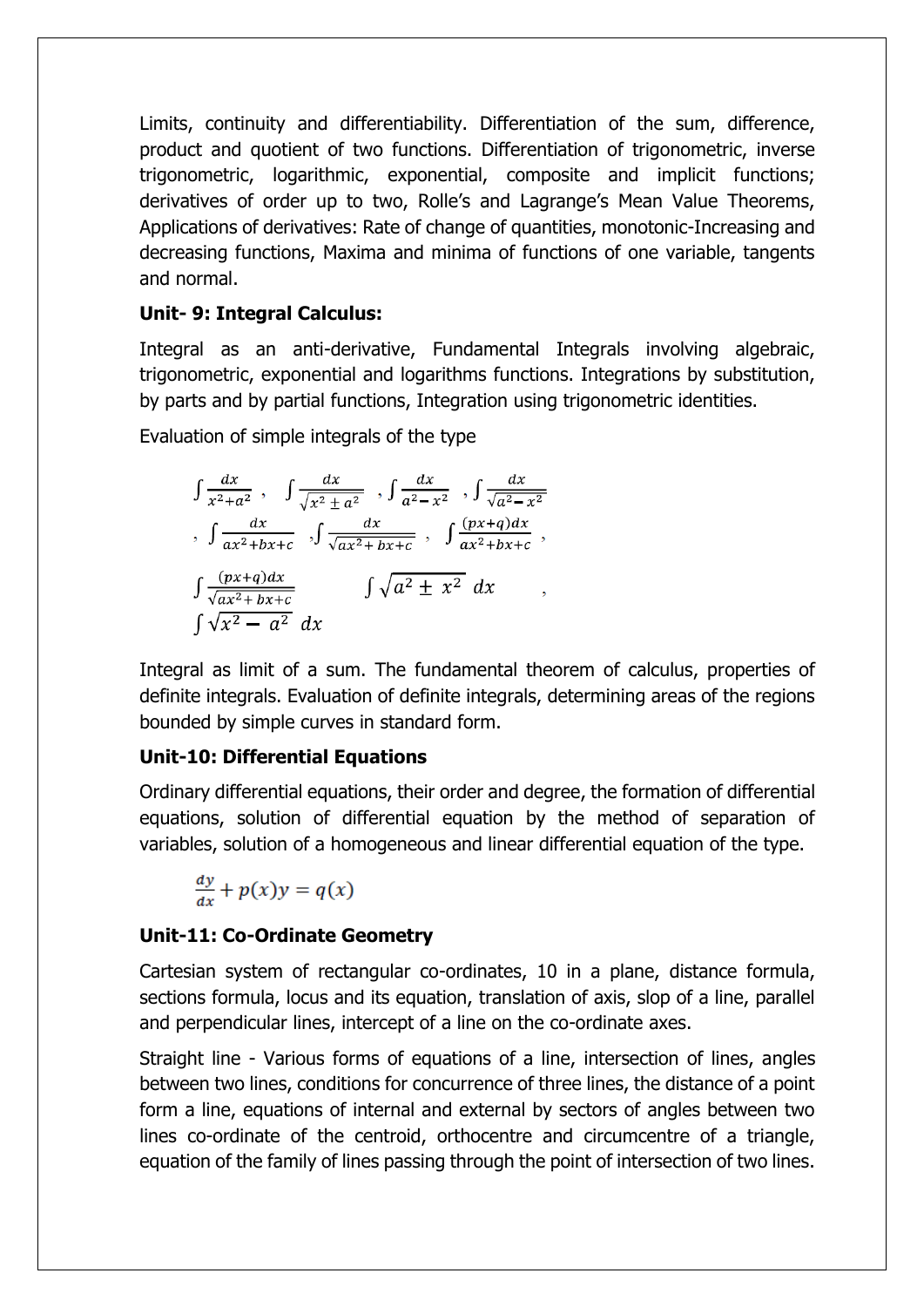Limits, continuity and differentiability. Differentiation of the sum, difference, product and quotient of two functions. Differentiation of trigonometric, inverse trigonometric, logarithmic, exponential, composite and implicit functions; derivatives of order up to two, Rolle's and Lagrange's Mean Value Theorems, Applications of derivatives: Rate of change of quantities, monotonic-Increasing and decreasing functions, Maxima and minima of functions of one variable, tangents and normal.

#### **Unit- 9: Integral Calculus:**

Integral as an anti-derivative, Fundamental Integrals involving algebraic, trigonometric, exponential and logarithms functions. Integrations by substitution, by parts and by partial functions, Integration using trigonometric identities.

Evaluation of simple integrals of the type

$$
\int \frac{dx}{x^2 + a^2}, \quad \int \frac{dx}{\sqrt{x^2 \pm a^2}}, \quad \int \frac{dx}{a^2 - x^2}, \quad \int \frac{dx}{\sqrt{a^2 - x^2}}
$$
\n
$$
\int \frac{dx}{ax^2 + bx + c}, \quad \int \frac{dx}{\sqrt{ax^2 + bx + c}}, \quad \int \frac{(px + q)dx}{ax^2 + bx + c},
$$
\n
$$
\int \frac{(px + q)dx}{\sqrt{ax^2 + bx + c}}
$$
\n
$$
\int \sqrt{a^2 \pm x^2} dx
$$

Integral as limit of a sum. The fundamental theorem of calculus, properties of definite integrals. Evaluation of definite integrals, determining areas of the regions bounded by simple curves in standard form.

## **Unit-10: Differential Equations**

Ordinary differential equations, their order and degree, the formation of differential equations, solution of differential equation by the method of separation of variables, solution of a homogeneous and linear differential equation of the type.

$$
\frac{dy}{dx} + p(x)y = q(x)
$$

## **Unit-11: Co-Ordinate Geometry**

Cartesian system of rectangular co-ordinates, 10 in a plane, distance formula, sections formula, locus and its equation, translation of axis, slop of a line, parallel and perpendicular lines, intercept of a line on the co-ordinate axes.

Straight line - Various forms of equations of a line, intersection of lines, angles between two lines, conditions for concurrence of three lines, the distance of a point form a line, equations of internal and external by sectors of angles between two lines co-ordinate of the centroid, orthocentre and circumcentre of a triangle, equation of the family of lines passing through the point of intersection of two lines.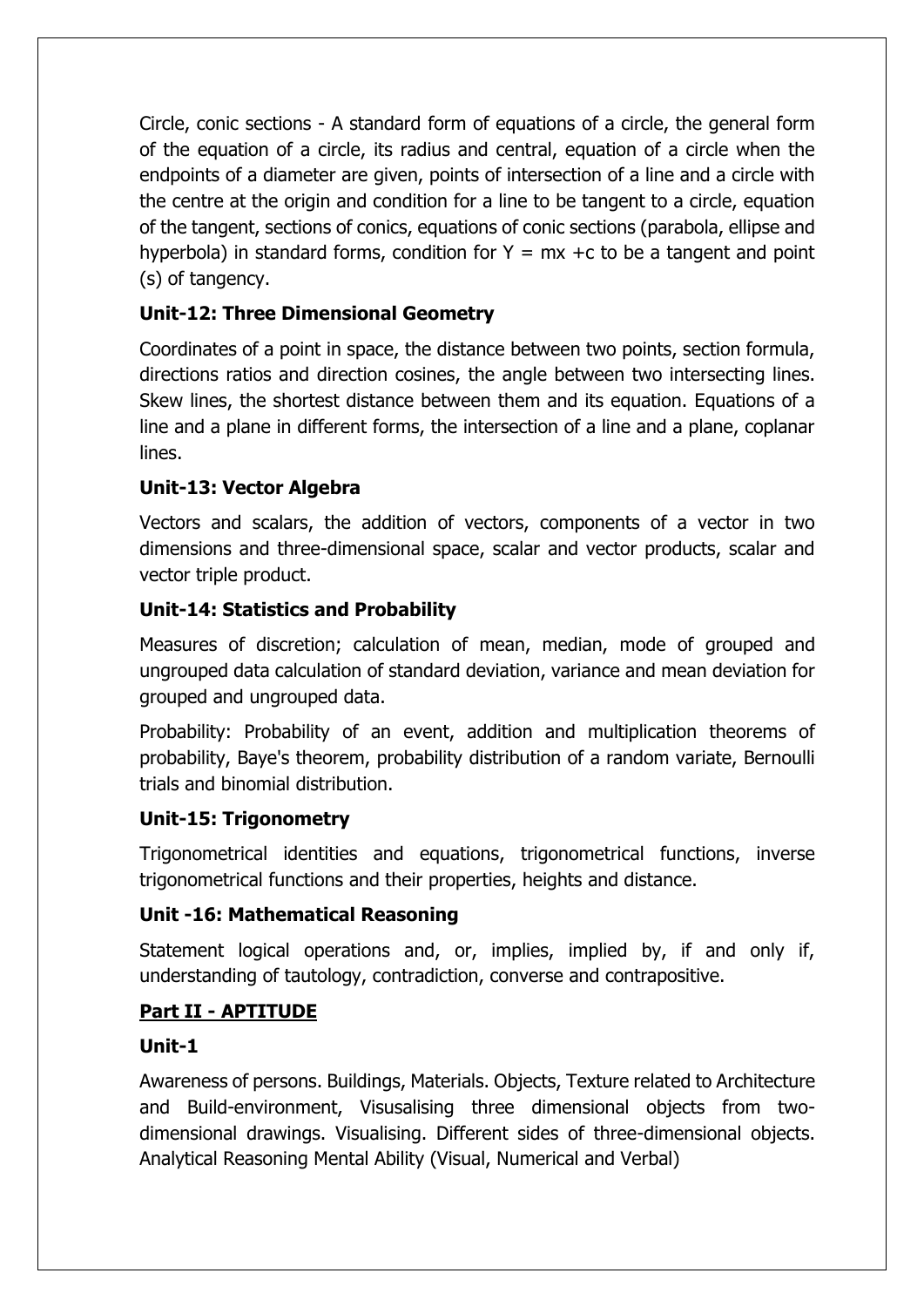Circle, conic sections - A standard form of equations of a circle, the general form of the equation of a circle, its radius and central, equation of a circle when the endpoints of a diameter are given, points of intersection of a line and a circle with the centre at the origin and condition for a line to be tangent to a circle, equation of the tangent, sections of conics, equations of conic sections (parabola, ellipse and hyperbola) in standard forms, condition for  $Y = mx + c$  to be a tangent and point (s) of tangency.

# **Unit-12: Three Dimensional Geometry**

Coordinates of a point in space, the distance between two points, section formula, directions ratios and direction cosines, the angle between two intersecting lines. Skew lines, the shortest distance between them and its equation. Equations of a line and a plane in different forms, the intersection of a line and a plane, coplanar lines.

# **Unit-13: Vector Algebra**

Vectors and scalars, the addition of vectors, components of a vector in two dimensions and three-dimensional space, scalar and vector products, scalar and vector triple product.

# **Unit-14: Statistics and Probability**

Measures of discretion; calculation of mean, median, mode of grouped and ungrouped data calculation of standard deviation, variance and mean deviation for grouped and ungrouped data.

Probability: Probability of an event, addition and multiplication theorems of probability, Baye's theorem, probability distribution of a random variate, Bernoulli trials and binomial distribution.

## **Unit-15: Trigonometry**

Trigonometrical identities and equations, trigonometrical functions, inverse trigonometrical functions and their properties, heights and distance.

## **Unit -16: Mathematical Reasoning**

Statement logical operations and, or, implies, implied by, if and only if, understanding of tautology, contradiction, converse and contrapositive.

## **Part II - APTITUDE**

## **Unit-1**

Awareness of persons. Buildings, Materials. Objects, Texture related to Architecture and Build-environment, Visusalising three dimensional objects from twodimensional drawings. Visualising. Different sides of three-dimensional objects. Analytical Reasoning Mental Ability (Visual, Numerical and Verbal)